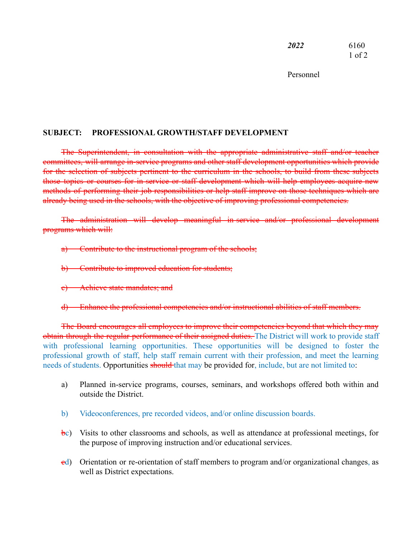*2022* 6160 1 of 2

Personnel

## **SUBJECT: PROFESSIONAL GROWTH/STAFF DEVELOPMENT**

The Superintendent, in consultation with the appropriate administrative staff and/or teacher committees, will arrange in-service programs and other staff development opportunities which provide for the selection of subjects pertinent to the curriculum in the schools, to build from these subjects those topics or courses for in-service or staff development which will help employees acquire new methods of performing their job responsibilities or help staff improve on those techniques which are already being used in the schools, with the objective of improving professional competencies.

The administration will develop meaningful in-service and/or professional development programs which will:

- a) Contribute to the instructional program of the schools;
- b) Contribute to improved education for students;
- c) Achieve state mandates; and
- d) Enhance the professional competencies and/or instructional abilities of staff members.

The Board encourages all employees to improve their competencies beyond that which they may obtain through the regular performance of their assigned duties. The District will work to provide staff with professional learning opportunities. These opportunities will be designed to foster the professional growth of staff, help staff remain current with their profession, and meet the learning needs of students. Opportunities should that may be provided for, include, but are not limited to:

- a) Planned in-service programs, courses, seminars, and workshops offered both within and outside the District.
- b) Videoconferences, pre recorded videos, and/or online discussion boards.
- $\dot{\mathbf{b}}$ c) Visits to other classrooms and schools, as well as attendance at professional meetings, for the purpose of improving instruction and/or educational services.
- $\text{ed}$ ) Orientation or re-orientation of staff members to program and/or organizational changes, as well as District expectations.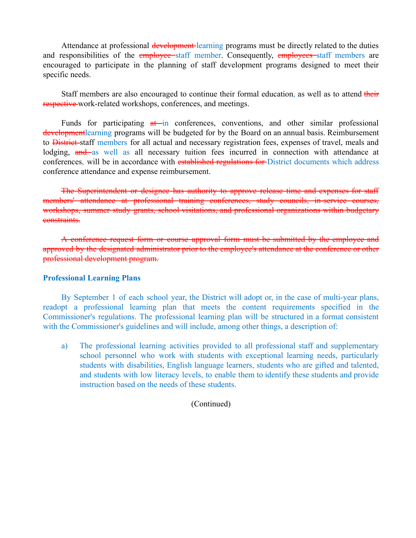Attendance at professional development learning programs must be directly related to the duties and responsibilities of the **employee** staff member. Consequently, **employees** staff members are encouraged to participate in the planning of staff development programs designed to meet their specific needs.

Staff members are also encouraged to continue their formal education, as well as to attend their respective work-related workshops, conferences, and meetings.

Funds for participating  $a\bar{t}$  in conferences, conventions, and other similar professional development learning programs will be budgeted for by the Board on an annual basis. Reimbursement to District staff members for all actual and necessary registration fees, expenses of travel, meals and lodging, and as well as all necessary tuition fees incurred in connection with attendance at conferences, will be in accordance with established regulations for District documents which address conference attendance and expense reimbursement.

The Superintendent or designee has authority to approve release time and expenses for staff members' attendance at professional training conferences, study councils, in-service courses, workshops, summer study grants, school visitations, and professional organizations within budgetary constraints.

A conference request form or course approval form must be submitted by the employee and approved by the designated administrator prior to the employee's attendance at the conference or other professional development program.

## **Professional Learning Plans**

By September 1 of each school year, the District will adopt or, in the case of multi-year plans, readopt a professional learning plan that meets the content requirements specified in the Commissioner's regulations. The professional learning plan will be structured in a format consistent with the Commissioner's guidelines and will include, among other things, a description of:

a) The professional learning activities provided to all professional staff and supplementary school personnel who work with students with exceptional learning needs, particularly students with disabilities, English language learners, students who are gifted and talented, and students with low literacy levels, to enable them to identify these students and provide instruction based on the needs of these students.

(Continued)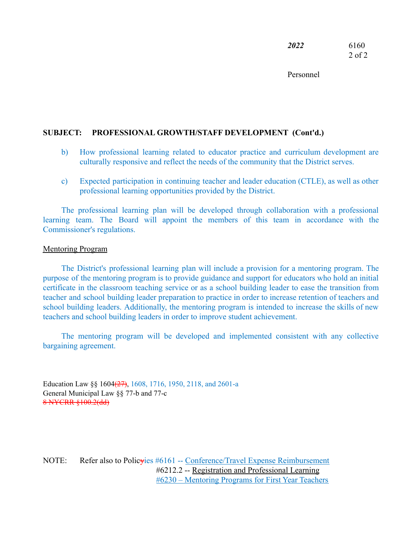*2022* 6160 2 of 2

Personnel

## **SUBJECT: PROFESSIONAL GROWTH/STAFF DEVELOPMENT (Cont'd.)**

- b) How professional learning related to educator practice and curriculum development are culturally responsive and reflect the needs of the community that the District serves.
- c) Expected participation in continuing teacher and leader education (CTLE), as well as other professional learning opportunities provided by the District.

The professional learning plan will be developed through collaboration with a professional learning team. The Board will appoint the members of this team in accordance with the Commissioner's regulations.

## Mentoring Program

The District's professional learning plan will include a provision for a mentoring program. The purpose of the mentoring program is to provide guidance and support for educators who hold an initial certificate in the classroom teaching service or as a school building leader to ease the transition from teacher and school building leader preparation to practice in order to increase retention of teachers and school building leaders. Additionally, the mentoring program is intended to increase the skills of new teachers and school building leaders in order to improve student achievement.

The mentoring program will be developed and implemented consistent with any collective bargaining agreement.

Education Law §§ 1604<del>(27)</del>, 1608, 1716, 1950, 2118, and 2601-a General Municipal Law §§ 77-b and 77-c 8 NYCRR §100.2(dd)

NOTE: Refer also to Polic<del>y</del>ies #6161 -- Conference/Travel Expense Reimbursement #6212.2 -- Registration and Professional Learning #6230 – Mentoring Programs for First Year Teachers